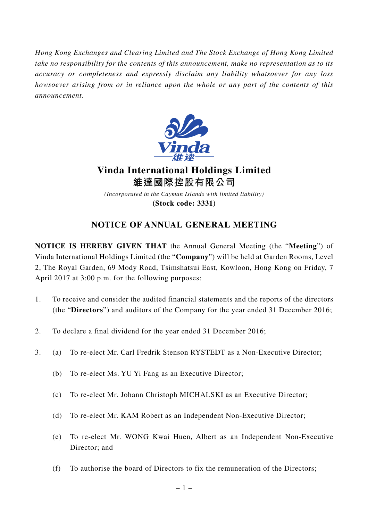*Hong Kong Exchanges and Clearing Limited and The Stock Exchange of Hong Kong Limited take no responsibility for the contents of this announcement, make no representation as to its accuracy or completeness and expressly disclaim any liability whatsoever for any loss howsoever arising from or in reliance upon the whole or any part of the contents of this announcement.*



**Vinda International Holdings Limited 維達國際控股有限公司**

*(Incorporated in the Cayman Islands with limited liability)* **(Stock code: 3331)**

## **NOTICE OF ANNUAL GENERAL MEETING**

**NOTICE IS HEREBY GIVEN THAT** the Annual General Meeting (the "**Meeting**") of Vinda International Holdings Limited (the "**Company**") will be held at Garden Rooms, Level 2, The Royal Garden, 69 Mody Road, Tsimshatsui East, Kowloon, Hong Kong on Friday, 7 April 2017 at 3:00 p.m. for the following purposes:

- 1. To receive and consider the audited financial statements and the reports of the directors (the "**Directors**") and auditors of the Company for the year ended 31 December 2016;
- 2. To declare a final dividend for the year ended 31 December 2016;
- 3. (a) To re-elect Mr. Carl Fredrik Stenson RYSTEDT as a Non-Executive Director;
	- (b) To re-elect Ms. YU Yi Fang as an Executive Director;
	- (c) To re-elect Mr. Johann Christoph MICHALSKI as an Executive Director;
	- (d) To re-elect Mr. KAM Robert as an Independent Non-Executive Director;
	- (e) To re-elect Mr. WONG Kwai Huen, Albert as an Independent Non-Executive Director; and
	- (f) To authorise the board of Directors to fix the remuneration of the Directors;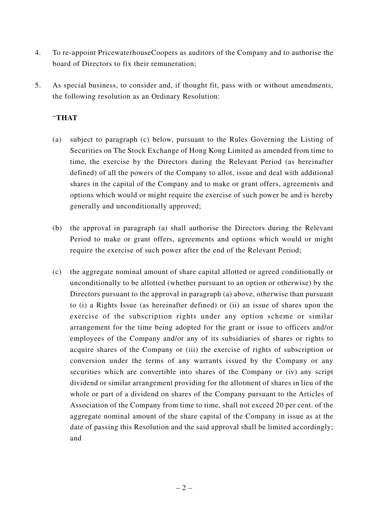- 4. To re-appoint PricewaterhouseCoopers as auditors of the Company and to authorise the board of Directors to fix their remuneration;
- 5. As special business, to consider and, if thought fit, pass with or without amendments, the following resolution as an Ordinary Resolution:

## "**THAT**

- (a) subject to paragraph (c) below, pursuant to the Rules Governing the Listing of Securities on The Stock Exchange of Hong Kong Limited as amended from time to time, the exercise by the Directors during the Relevant Period (as hereinafter defined) of all the powers of the Company to allot, issue and deal with additional shares in the capital of the Company and to make or grant offers, agreements and options which would or might require the exercise of such power be and is hereby generally and unconditionally approved;
- (b) the approval in paragraph (a) shall authorise the Directors during the Relevant Period to make or grant offers, agreements and options which would or might require the exercise of such power after the end of the Relevant Period;
- (c) the aggregate nominal amount of share capital allotted or agreed conditionally or unconditionally to be allotted (whether pursuant to an option or otherwise) by the Directors pursuant to the approval in paragraph (a) above, otherwise than pursuant to (i) a Rights Issue (as hereinafter defined) or (ii) an issue of shares upon the exercise of the subscription rights under any option scheme or similar arrangement for the time being adopted for the grant or issue to officers and/or employees of the Company and/or any of its subsidiaries of shares or rights to acquire shares of the Company or (iii) the exercise of rights of subscription or conversion under the terms of any warrants issued by the Company or any securities which are convertible into shares of the Company or (iv) any script dividend or similar arrangement providing for the allotment of shares in lieu of the whole or part of a dividend on shares of the Company pursuant to the Articles of Association of the Company from time to time, shall not exceed 20 per cent. of the aggregate nominal amount of the share capital of the Company in issue as at the date of passing this Resolution and the said approval shall be limited accordingly; and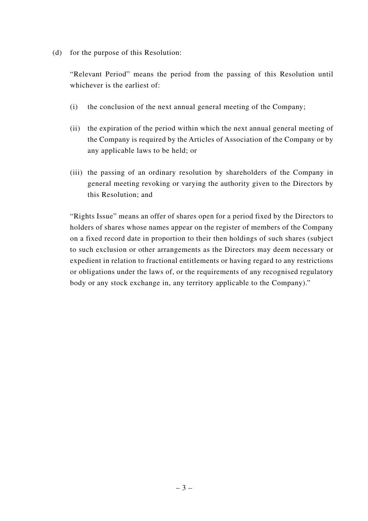(d) for the purpose of this Resolution:

"Relevant Period" means the period from the passing of this Resolution until whichever is the earliest of:

- (i) the conclusion of the next annual general meeting of the Company;
- (ii) the expiration of the period within which the next annual general meeting of the Company is required by the Articles of Association of the Company or by any applicable laws to be held; or
- (iii) the passing of an ordinary resolution by shareholders of the Company in general meeting revoking or varying the authority given to the Directors by this Resolution; and

"Rights Issue" means an offer of shares open for a period fixed by the Directors to holders of shares whose names appear on the register of members of the Company on a fixed record date in proportion to their then holdings of such shares (subject to such exclusion or other arrangements as the Directors may deem necessary or expedient in relation to fractional entitlements or having regard to any restrictions or obligations under the laws of, or the requirements of any recognised regulatory body or any stock exchange in, any territory applicable to the Company)."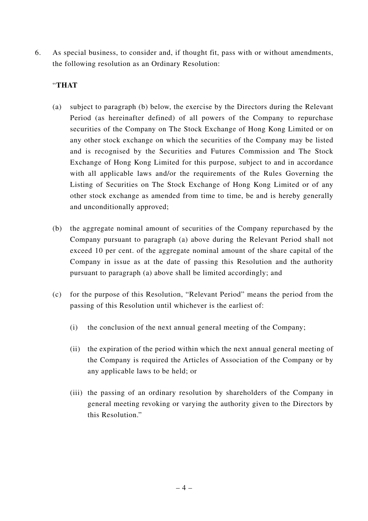6. As special business, to consider and, if thought fit, pass with or without amendments, the following resolution as an Ordinary Resolution:

## "**THAT**

- (a) subject to paragraph (b) below, the exercise by the Directors during the Relevant Period (as hereinafter defined) of all powers of the Company to repurchase securities of the Company on The Stock Exchange of Hong Kong Limited or on any other stock exchange on which the securities of the Company may be listed and is recognised by the Securities and Futures Commission and The Stock Exchange of Hong Kong Limited for this purpose, subject to and in accordance with all applicable laws and/or the requirements of the Rules Governing the Listing of Securities on The Stock Exchange of Hong Kong Limited or of any other stock exchange as amended from time to time, be and is hereby generally and unconditionally approved;
- (b) the aggregate nominal amount of securities of the Company repurchased by the Company pursuant to paragraph (a) above during the Relevant Period shall not exceed 10 per cent. of the aggregate nominal amount of the share capital of the Company in issue as at the date of passing this Resolution and the authority pursuant to paragraph (a) above shall be limited accordingly; and
- (c) for the purpose of this Resolution, "Relevant Period" means the period from the passing of this Resolution until whichever is the earliest of:
	- (i) the conclusion of the next annual general meeting of the Company;
	- (ii) the expiration of the period within which the next annual general meeting of the Company is required the Articles of Association of the Company or by any applicable laws to be held; or
	- (iii) the passing of an ordinary resolution by shareholders of the Company in general meeting revoking or varying the authority given to the Directors by this Resolution."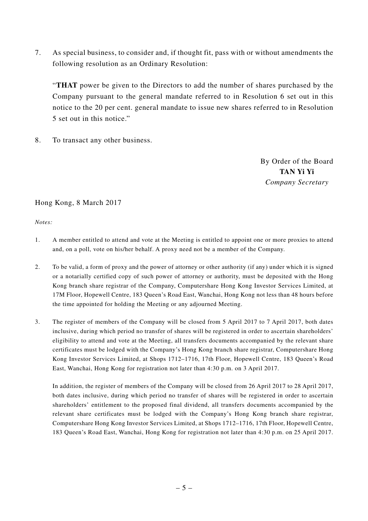7. As special business, to consider and, if thought fit, pass with or without amendments the following resolution as an Ordinary Resolution:

"**THAT** power be given to the Directors to add the number of shares purchased by the Company pursuant to the general mandate referred to in Resolution 6 set out in this notice to the 20 per cent. general mandate to issue new shares referred to in Resolution 5 set out in this notice."

8. To transact any other business.

By Order of the Board **TAN Yi Yi** *Company Secretary*

## Hong Kong, 8 March 2017

*Notes:*

- 1. A member entitled to attend and vote at the Meeting is entitled to appoint one or more proxies to attend and, on a poll, vote on his/her behalf. A proxy need not be a member of the Company.
- 2. To be valid, a form of proxy and the power of attorney or other authority (if any) under which it is signed or a notarially certified copy of such power of attorney or authority, must be deposited with the Hong Kong branch share registrar of the Company, Computershare Hong Kong Investor Services Limited, at 17M Floor, Hopewell Centre, 183 Queen's Road East, Wanchai, Hong Kong not less than 48 hours before the time appointed for holding the Meeting or any adjourned Meeting.
- 3. The register of members of the Company will be closed from 5 April 2017 to 7 April 2017, both dates inclusive, during which period no transfer of shares will be registered in order to ascertain shareholders' eligibility to attend and vote at the Meeting, all transfers documents accompanied by the relevant share certificates must be lodged with the Company's Hong Kong branch share registrar, Computershare Hong Kong Investor Services Limited, at Shops 1712–1716, 17th Floor, Hopewell Centre, 183 Queen's Road East, Wanchai, Hong Kong for registration not later than 4:30 p.m. on 3 April 2017.

In addition, the register of members of the Company will be closed from 26 April 2017 to 28 April 2017, both dates inclusive, during which period no transfer of shares will be registered in order to ascertain shareholders' entitlement to the proposed final dividend, all transfers documents accompanied by the relevant share certificates must be lodged with the Company's Hong Kong branch share registrar, Computershare Hong Kong Investor Services Limited, at Shops 1712–1716, 17th Floor, Hopewell Centre, 183 Queen's Road East, Wanchai, Hong Kong for registration not later than 4:30 p.m. on 25 April 2017.